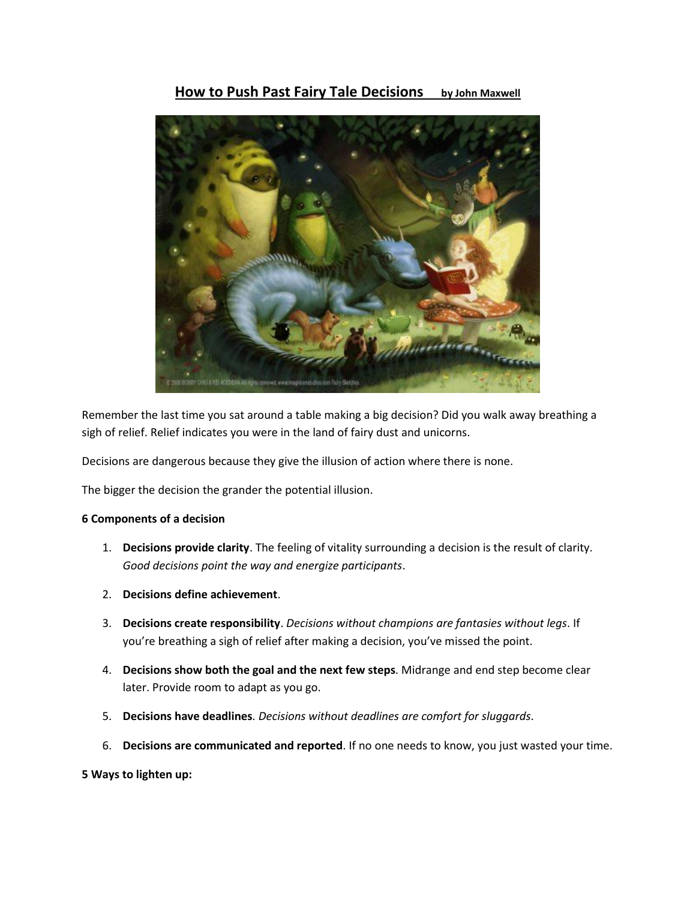# **How to Push Past Fairy Tale Decisions by John Maxwell**



Remember the last time you sat around a table making a big decision? Did you walk away breathing a sigh of relief. Relief indicates you were in the land of fairy dust and unicorns.

Decisions are dangerous because they give the illusion of action where there is none.

The bigger the decision the grander the potential illusion.

# **6 Components of a decision**

- 1. **Decisions provide clarity**. The feeling of vitality surrounding a decision is the result of clarity. *Good decisions point the way and energize participants*.
- 2. **Decisions define achievement**.
- 3. **Decisions create responsibility**. *Decisions without champions are fantasies without legs*. If you're breathing a sigh of relief after making a decision, you've missed the point.
- 4. **Decisions show both the goal and the next few steps**. Midrange and end step become clear later. Provide room to adapt as you go.
- 5. **Decisions have deadlines***. Decisions without deadlines are comfort for sluggards*.
- 6. **Decisions are communicated and reported**. If no one needs to know, you just wasted your time.

### **5 Ways to lighten up:**